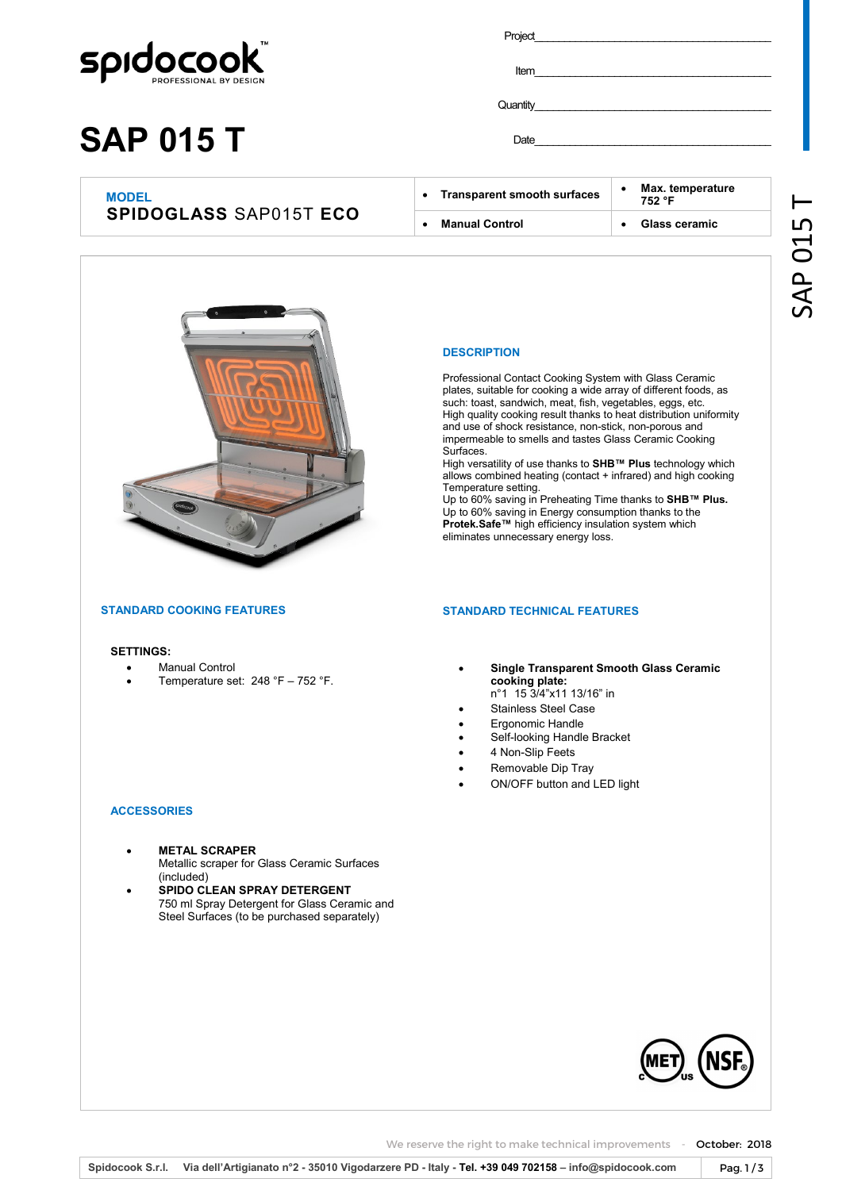

# **SAP 015 T**

| Project |  |  |  |
|---------|--|--|--|
|         |  |  |  |
|         |  |  |  |

Item \_\_\_\_\_\_\_\_\_\_\_\_\_\_\_\_\_\_\_\_\_\_\_\_\_\_\_\_\_\_\_\_\_\_\_\_\_\_\_\_\_\_\_

Quantity

Date \_\_\_\_\_\_\_\_\_\_\_\_\_\_\_\_\_\_\_\_\_\_\_\_\_\_\_\_\_\_\_\_\_\_\_\_\_\_\_\_\_\_\_

### **MODEL SPIDOGLASS** SAP015T **ECO**

| $\bullet$ | <b>Transparent smooth surfaces</b> | Max. temperature<br>752 °F |
|-----------|------------------------------------|----------------------------|
| $\bullet$ | <b>Manual Control</b>              | Glass ceramic              |
|           |                                    |                            |



#### **DESCRIPTION**

Professional Contact Cooking System with Glass Ceramic plates, suitable for cooking a wide array of different foods, as such: toast, sandwich, meat, fish, vegetables, eggs, etc. High quality cooking result thanks to heat distribution uniformity and use of shock resistance, non-stick, non-porous and impermeable to smells and tastes Glass Ceramic Cooking Surfaces.

High versatility of use thanks to **SHB™ Plus** technology which allows combined heating (contact + infrared) and high cooking Temperature setting.

Up to 60% saving in Preheating Time thanks to **SHB™ Plus.**  Up to 60% saving in Energy consumption thanks to the **Protek.Safe™** high efficiency insulation system which eliminates unnecessary energy loss.

#### **STANDARD COOKING FEATURES**

#### **SETTINGS:**

- Manual Control
- Temperature set: 248 °F 752 °F.

**STANDARD TECHNICAL FEATURES**

- **Single Transparent Smooth Glass Ceramic cooking plate:**
- n°1 15 3/4"x11 13/16" in Stainless Steel Case
- Ergonomic Handle
- Self-looking Handle Bracket
- 4 Non-Slip Feets
- Removable Dip Tray
- ON/OFF button and LED light

### **ACCESSORIES**

- **METAL SCRAPER**  Metallic scraper for Glass Ceramic Surfaces (included)
- **SPIDO CLEAN SPRAY DETERGENT**  750 ml Spray Detergent for Glass Ceramic and Steel Surfaces (to be purchased separately)



We reserve the right to make technical improvements - October: 2018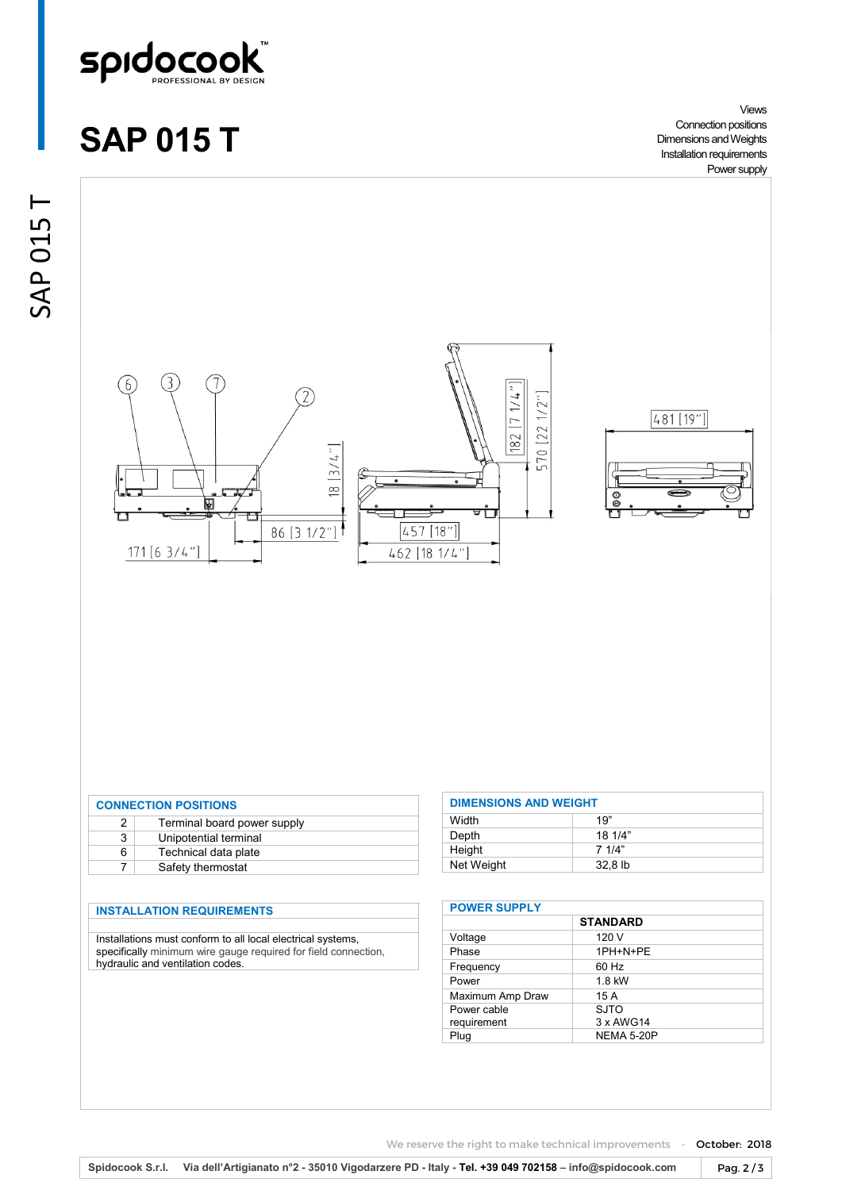

## **SAP 015 T**

Views Connection positions Dimensions and Weights Installation requirements Power supply

 $\vdash$ 





| <b>CONNECTION POSITIONS</b> |                             |  |
|-----------------------------|-----------------------------|--|
| 2                           | Terminal board power supply |  |
| 3                           | Unipotential terminal       |  |
| 6                           | Technical data plate        |  |
|                             | Safety thermostat           |  |

#### **INSTALLATION REQUIREMENTS**

Installations must conform to all local electrical systems, specifically minimum wire gauge required for field connection, hydraulic and ventilation codes.

| <b>DIMENSIONS AND WEIGHT</b> |         |  |
|------------------------------|---------|--|
| Width                        | 19"     |  |
| Depth                        | 181/4"  |  |
| Height                       | 7.1/4"  |  |
| Net Weight                   | 32.8 lb |  |

| <b>POWER SUPPLY</b> |                   |  |
|---------------------|-------------------|--|
|                     | <b>STANDARD</b>   |  |
| Voltage             | 120 V             |  |
| Phase               | 1PH+N+PE          |  |
| Frequency           | 60 Hz             |  |
| Power               | $1.8$ kW          |  |
| Maximum Amp Draw    | 15 A              |  |
| Power cable         | SJTO              |  |
| requirement         | 3 x AWG14         |  |
| Plug                | <b>NEMA 5-20P</b> |  |

We reserve the right to make technical improvements - October: 2018